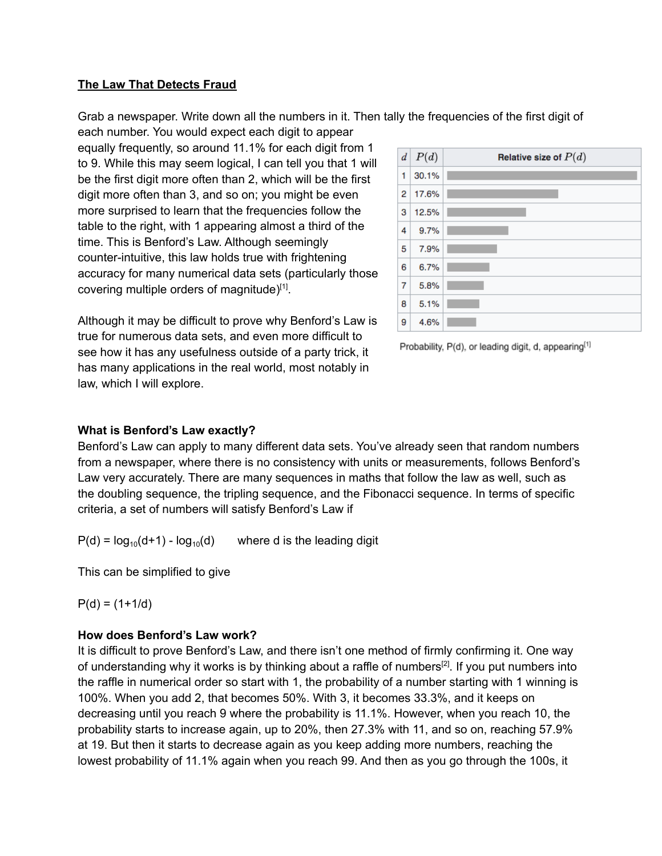## **The Law That Detects Fraud**

Grab a newspaper. Write down all the numbers in it. Then tally the frequencies of the first digit of each number. You would expect each digit to appear

equally frequently, so around 11.1% for each digit from 1 to 9. While this may seem logical, I can tell you that 1 will be the first digit more often than 2, which will be the first digit more often than 3, and so on; you might be even more surprised to learn that the frequencies follow the table to the right, with 1 appearing almost a third of the time. This is Benford's Law. Although seemingly counter-intuitive, this law holds true with frightening accuracy for many numerical data sets (particularly those covering multiple orders of magnitude)[1].

Although it may be difficult to prove why Benford's Law is true for numerous data sets, and even more difficult to see how it has any usefulness outside of a party trick, it has many applications in the real world, most notably in law, which I will explore.

| $\left  d \right $ | P(d)  | Relative size of $P(d)$ |
|--------------------|-------|-------------------------|
| 1                  | 30.1% |                         |
| 2                  | 17.6% |                         |
| 3                  | 12.5% |                         |
| 4                  | 9.7%  |                         |
| 5                  | 7.9%  |                         |
| 6                  | 6.7%  |                         |
| 7                  | 5.8%  |                         |
| 8                  | 5.1%  |                         |
| 9                  | 4.6%  |                         |

Probability, P(d), or leading digit, d, appearing<sup>[1]</sup>

## **What is Benford's Law exactly?**

Benford's Law can apply to many different data sets. You've already seen that random numbers from a newspaper, where there is no consistency with units or measurements, follows Benford's Law very accurately. There are many sequences in maths that follow the law as well, such as the doubling sequence, the tripling sequence, and the Fibonacci sequence. In terms of specific criteria, a set of numbers will satisfy Benford's Law if

 $P(d) = log_{10}(d+1) - log_{10}(d+1)$ where d is the leading digit

This can be simplified to give

 $P(d) = (1 + 1/d)$ 

## **How does Benford's Law work?**

It is difficult to prove Benford's Law, and there isn't one method of firmly confirming it. One way of understanding why it works is by thinking about a raffle of numbers<sup>[2]</sup>. If you put numbers into the raffle in numerical order so start with 1, the probability of a number starting with 1 winning is 100%. When you add 2, that becomes 50%. With 3, it becomes 33.3%, and it keeps on decreasing until you reach 9 where the probability is 11.1%. However, when you reach 10, the probability starts to increase again, up to 20%, then 27.3% with 11, and so on, reaching 57.9% at 19. But then it starts to decrease again as you keep adding more numbers, reaching the lowest probability of 11.1% again when you reach 99. And then as you go through the 100s, it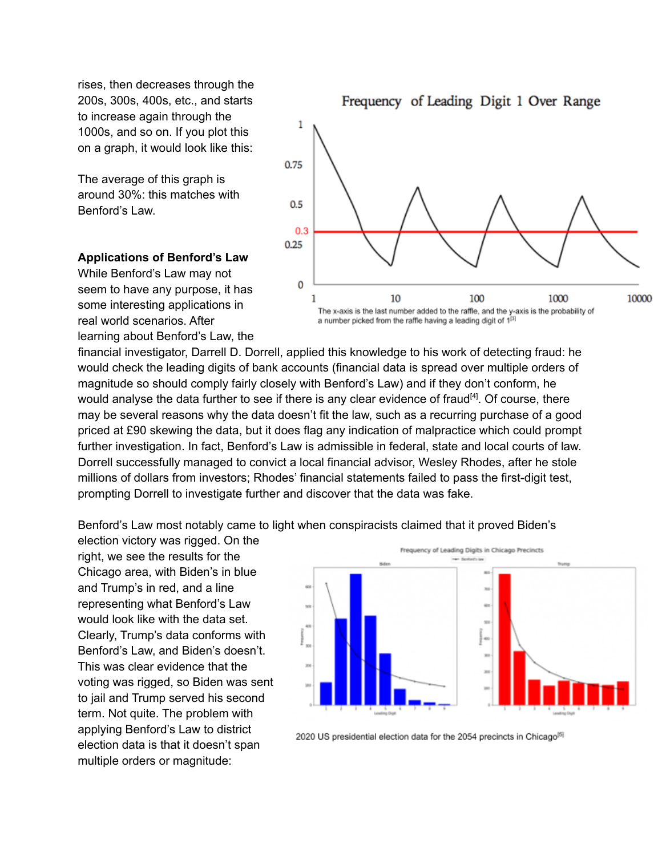rises, then decreases through the 200s, 300s, 400s, etc., and starts to increase again through the 1000s, and so on. If you plot this on a graph, it would look like this:

The average of this graph is around 30%: this matches with Benford's Law.

## **Applications of Benford's Law**

While Benford's Law may not seem to have any purpose, it has some interesting applications in real world scenarios. After learning about Benford's Law, the

Frequency of Leading Digit 1 Over Range 1 0.75  $0.5$  $0.3$  $0.25$ 

1 10 100 1000 The x-axis is the last number added to the raffle, and the y-axis is the probability of a number picked from the raffle having a leading digit of 1<sup>[3]</sup>

10000

financial investigator, Darrell D. Dorrell, applied this knowledge to his work of detecting fraud: he would check the leading digits of bank accounts (financial data is spread over multiple orders of magnitude so should comply fairly closely with Benford's Law) and if they don't conform, he would analyse the data further to see if there is any clear evidence of fraud<sup>[4]</sup>. Of course, there may be several reasons why the data doesn't fit the law, such as a recurring purchase of a good priced at £90 skewing the data, but it does flag any indication of malpractice which could prompt further investigation. In fact, Benford's Law is admissible in federal, state and local courts of law. Dorrell successfully managed to convict a local financial advisor, Wesley Rhodes, after he stole millions of dollars from investors; Rhodes' financial statements failed to pass the first-digit test, prompting Dorrell to investigate further and discover that the data was fake.

0

Benford's Law most notably came to light when conspiracists claimed that it proved Biden's

election victory was rigged. On the right, we see the results for the Chicago area, with Biden's in blue and Trump's in red, and a line representing what Benford's Law would look like with the data set. Clearly, Trump's data conforms with Benford's Law, and Biden's doesn't. This was clear evidence that the voting was rigged, so Biden was sent to jail and Trump served his second term. Not quite. The problem with applying Benford's Law to district election data is that it doesn't span multiple orders or magnitude:



2020 US presidential election data for the 2054 precincts in Chicago<sup>[5]</sup>